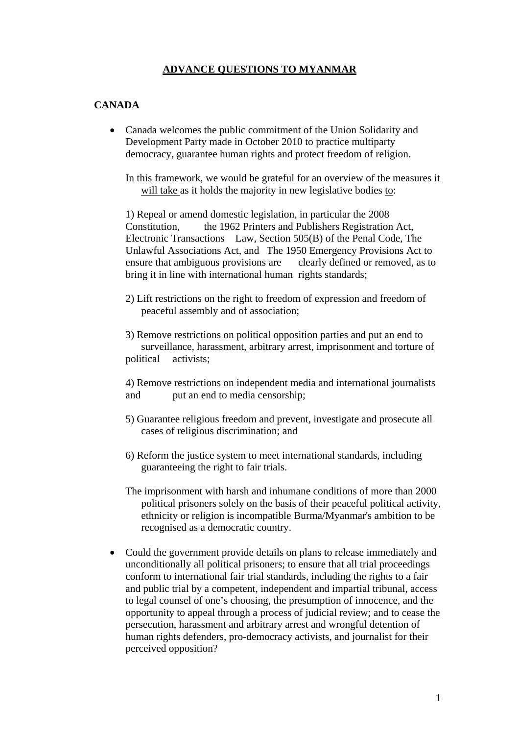# **ADVANCE QUESTIONS TO MYANMAR**

## **CANADA**

• Canada welcomes the public commitment of the Union Solidarity and Development Party made in October 2010 to practice multiparty democracy, guarantee human rights and protect freedom of religion.

 In this framework, we would be grateful for an overview of the measures it will take as it holds the majority in new legislative bodies to:

 1) Repeal or amend domestic legislation, in particular the 2008 Constitution, the 1962 Printers and Publishers Registration Act, Electronic Transactions Law, Section 505(B) of the Penal Code, The Unlawful Associations Act, and The 1950 Emergency Provisions Act to ensure that ambiguous provisions are clearly defined or removed, as to bring it in line with international human rights standards;

 2) Lift restrictions on the right to freedom of expression and freedom of peaceful assembly and of association;

 3) Remove restrictions on political opposition parties and put an end to surveillance, harassment, arbitrary arrest, imprisonment and torture of political activists;

 4) Remove restrictions on independent media and international journalists and put an end to media censorship;

- 5) Guarantee religious freedom and prevent, investigate and prosecute all cases of religious discrimination; and
- 6) Reform the justice system to meet international standards, including guaranteeing the right to fair trials.
- The imprisonment with harsh and inhumane conditions of more than 2000 political prisoners solely on the basis of their peaceful political activity, ethnicity or religion is incompatible Burma/Myanmar's ambition to be recognised as a democratic country.
- Could the government provide details on plans to release immediately and unconditionally all political prisoners; to ensure that all trial proceedings conform to international fair trial standards, including the rights to a fair and public trial by a competent, independent and impartial tribunal, access to legal counsel of one's choosing, the presumption of innocence, and the opportunity to appeal through a process of judicial review; and to cease the persecution, harassment and arbitrary arrest and wrongful detention of human rights defenders, pro-democracy activists, and journalist for their perceived opposition?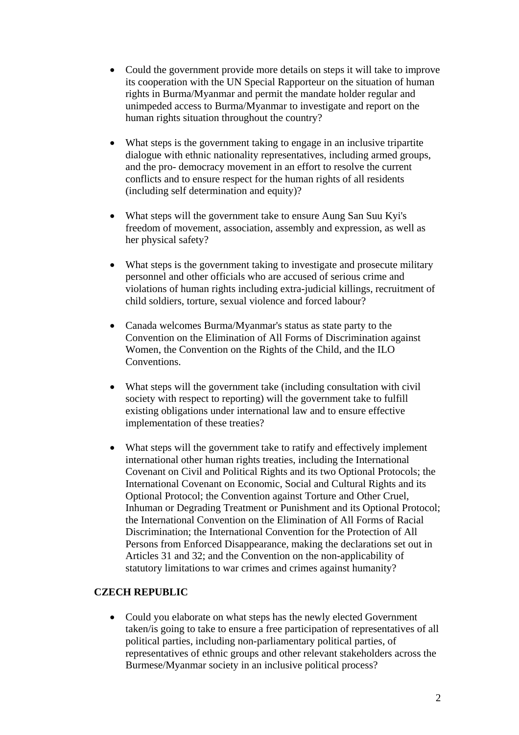- Could the government provide more details on steps it will take to improve its cooperation with the UN Special Rapporteur on the situation of human rights in Burma/Myanmar and permit the mandate holder regular and unimpeded access to Burma/Myanmar to investigate and report on the human rights situation throughout the country?
- What steps is the government taking to engage in an inclusive tripartite dialogue with ethnic nationality representatives, including armed groups, and the pro- democracy movement in an effort to resolve the current conflicts and to ensure respect for the human rights of all residents (including self determination and equity)?
- What steps will the government take to ensure Aung San Suu Kyi's freedom of movement, association, assembly and expression, as well as her physical safety?
- What steps is the government taking to investigate and prosecute military personnel and other officials who are accused of serious crime and violations of human rights including extra-judicial killings, recruitment of child soldiers, torture, sexual violence and forced labour?
- Canada welcomes Burma/Myanmar's status as state party to the Convention on the Elimination of All Forms of Discrimination against Women, the Convention on the Rights of the Child, and the ILO Conventions.
- What steps will the government take (including consultation with civil society with respect to reporting) will the government take to fulfill existing obligations under international law and to ensure effective implementation of these treaties?
- What steps will the government take to ratify and effectively implement international other human rights treaties, including the International Covenant on Civil and Political Rights and its two Optional Protocols; the International Covenant on Economic, Social and Cultural Rights and its Optional Protocol; the Convention against Torture and Other Cruel, Inhuman or Degrading Treatment or Punishment and its Optional Protocol; the International Convention on the Elimination of All Forms of Racial Discrimination; the International Convention for the Protection of All Persons from Enforced Disappearance, making the declarations set out in Articles 31 and 32; and the Convention on the non-applicability of statutory limitations to war crimes and crimes against humanity?

# **CZECH REPUBLIC**

• Could you elaborate on what steps has the newly elected Government taken/is going to take to ensure a free participation of representatives of all political parties, including non-parliamentary political parties, of representatives of ethnic groups and other relevant stakeholders across the Burmese/Myanmar society in an inclusive political process?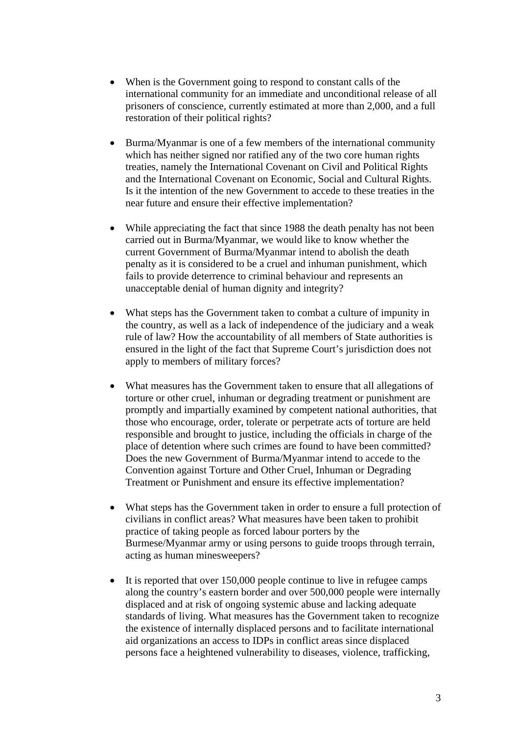- When is the Government going to respond to constant calls of the international community for an immediate and unconditional release of all prisoners of conscience, currently estimated at more than 2,000, and a full restoration of their political rights?
- Burma/Myanmar is one of a few members of the international community which has neither signed nor ratified any of the two core human rights treaties, namely the International Covenant on Civil and Political Rights and the International Covenant on Economic, Social and Cultural Rights. Is it the intention of the new Government to accede to these treaties in the near future and ensure their effective implementation?
- While appreciating the fact that since 1988 the death penalty has not been carried out in Burma/Myanmar, we would like to know whether the current Government of Burma/Myanmar intend to abolish the death penalty as it is considered to be a cruel and inhuman punishment, which fails to provide deterrence to criminal behaviour and represents an unacceptable denial of human dignity and integrity?
- What steps has the Government taken to combat a culture of impunity in the country, as well as a lack of independence of the judiciary and a weak rule of law? How the accountability of all members of State authorities is ensured in the light of the fact that Supreme Court's jurisdiction does not apply to members of military forces?
- What measures has the Government taken to ensure that all allegations of torture or other cruel, inhuman or degrading treatment or punishment are promptly and impartially examined by competent national authorities, that those who encourage, order, tolerate or perpetrate acts of torture are held responsible and brought to justice, including the officials in charge of the place of detention where such crimes are found to have been committed? Does the new Government of Burma/Myanmar intend to accede to the Convention against Torture and Other Cruel, Inhuman or Degrading Treatment or Punishment and ensure its effective implementation?
- What steps has the Government taken in order to ensure a full protection of civilians in conflict areas? What measures have been taken to prohibit practice of taking people as forced labour porters by the Burmese/Myanmar army or using persons to guide troops through terrain, acting as human minesweepers?
- It is reported that over 150,000 people continue to live in refugee camps along the country's eastern border and over 500,000 people were internally displaced and at risk of ongoing systemic abuse and lacking adequate standards of living. What measures has the Government taken to recognize the existence of internally displaced persons and to facilitate international aid organizations an access to IDPs in conflict areas since displaced persons face a heightened vulnerability to diseases, violence, trafficking,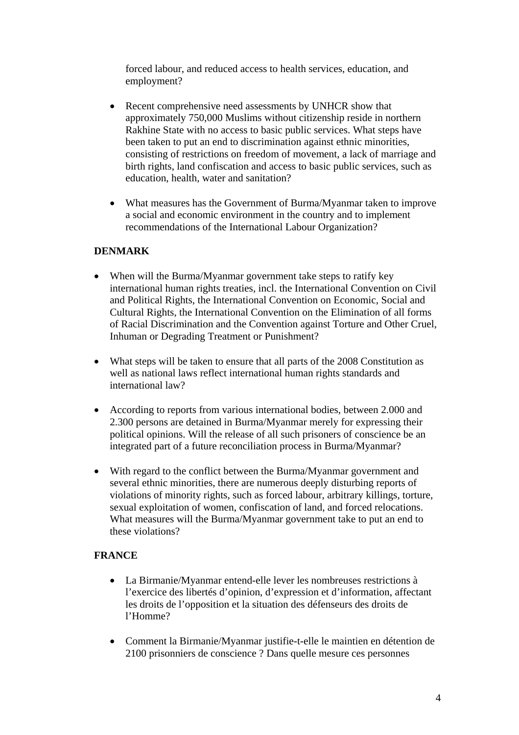forced labour, and reduced access to health services, education, and employment?

- Recent comprehensive need assessments by UNHCR show that approximately 750,000 Muslims without citizenship reside in northern Rakhine State with no access to basic public services. What steps have been taken to put an end to discrimination against ethnic minorities, consisting of restrictions on freedom of movement, a lack of marriage and birth rights, land confiscation and access to basic public services, such as education, health, water and sanitation?
- What measures has the Government of Burma/Myanmar taken to improve a social and economic environment in the country and to implement recommendations of the International Labour Organization?

# **DENMARK**

- When will the Burma/Myanmar government take steps to ratify key international human rights treaties, incl. the International Convention on Civil and Political Rights, the International Convention on Economic, Social and Cultural Rights, the International Convention on the Elimination of all forms of Racial Discrimination and the Convention against Torture and Other Cruel, Inhuman or Degrading Treatment or Punishment?
- What steps will be taken to ensure that all parts of the 2008 Constitution as well as national laws reflect international human rights standards and international law?
- According to reports from various international bodies, between 2.000 and 2.300 persons are detained in Burma/Myanmar merely for expressing their political opinions. Will the release of all such prisoners of conscience be an integrated part of a future reconciliation process in Burma/Myanmar?
- With regard to the conflict between the Burma/Myanmar government and several ethnic minorities, there are numerous deeply disturbing reports of violations of minority rights, such as forced labour, arbitrary killings, torture, sexual exploitation of women, confiscation of land, and forced relocations. What measures will the Burma/Myanmar government take to put an end to these violations?

# **FRANCE**

- La Birmanie/Myanmar entend-elle lever les nombreuses restrictions à l'exercice des libertés d'opinion, d'expression et d'information, affectant les droits de l'opposition et la situation des défenseurs des droits de l'Homme?
- Comment la Birmanie/Myanmar justifie-t-elle le maintien en détention de 2100 prisonniers de conscience ? Dans quelle mesure ces personnes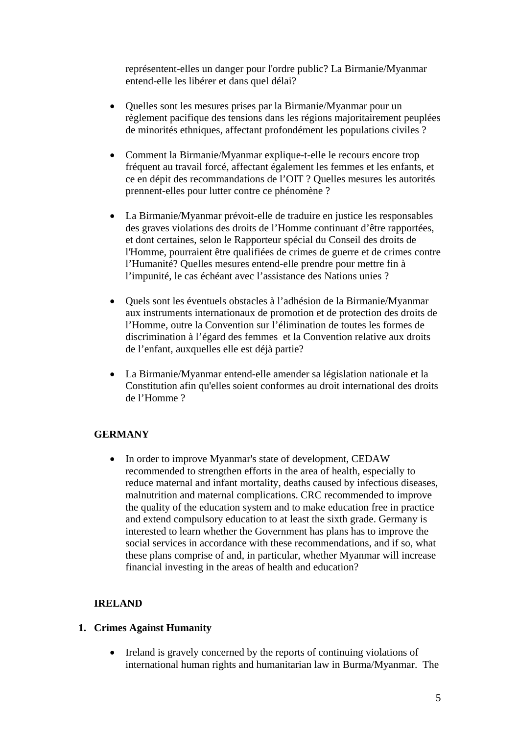représentent-elles un danger pour l'ordre public? La Birmanie/Myanmar entend-elle les libérer et dans quel délai?

- Quelles sont les mesures prises par la Birmanie/Myanmar pour un règlement pacifique des tensions dans les régions majoritairement peuplées de minorités ethniques, affectant profondément les populations civiles ?
- Comment la Birmanie/Myanmar explique-t-elle le recours encore trop fréquent au travail forcé, affectant également les femmes et les enfants, et ce en dépit des recommandations de l'OIT ? Quelles mesures les autorités prennent-elles pour lutter contre ce phénomène ?
- La Birmanie/Myanmar prévoit-elle de traduire en justice les responsables des graves violations des droits de l'Homme continuant d'être rapportées, et dont certaines, selon le Rapporteur spécial du Conseil des droits de l'Homme, pourraient être qualifiées de crimes de guerre et de crimes contre l'Humanité? Quelles mesures entend-elle prendre pour mettre fin à l'impunité, le cas échéant avec l'assistance des Nations unies ?
- Quels sont les éventuels obstacles à l'adhésion de la Birmanie/Myanmar aux instruments internationaux de promotion et de protection des droits de l'Homme, outre la Convention sur l'élimination de toutes les formes de discrimination à l'égard des femmes et la Convention relative aux droits de l'enfant, auxquelles elle est déjà partie?
- La Birmanie/Myanmar entend-elle amender sa législation nationale et la Constitution afin qu'elles soient conformes au droit international des droits de l'Homme ?

### **GERMANY**

• In order to improve Myanmar's state of development, CEDAW recommended to strengthen efforts in the area of health, especially to reduce maternal and infant mortality, deaths caused by infectious diseases, malnutrition and maternal complications. CRC recommended to improve the quality of the education system and to make education free in practice and extend compulsory education to at least the sixth grade. Germany is interested to learn whether the Government has plans has to improve the social services in accordance with these recommendations, and if so, what these plans comprise of and, in particular, whether Myanmar will increase financial investing in the areas of health and education?

### **IRELAND**

### **1. Crimes Against Humanity**

• Ireland is gravely concerned by the reports of continuing violations of international human rights and humanitarian law in Burma/Myanmar. The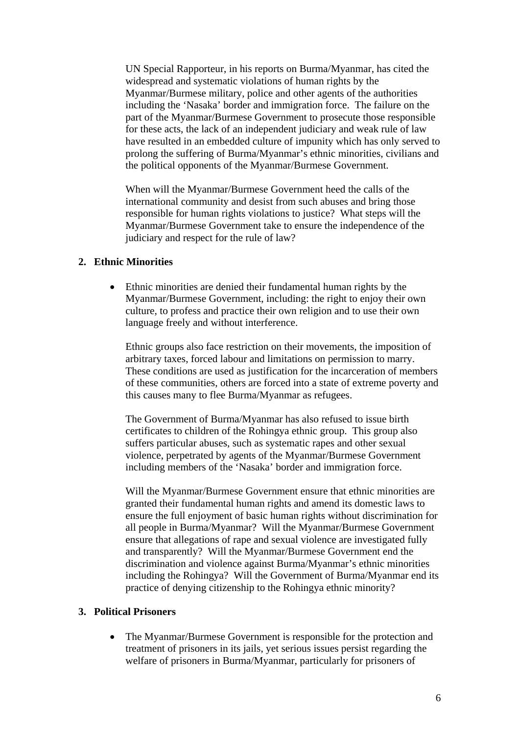UN Special Rapporteur, in his reports on Burma/Myanmar, has cited the widespread and systematic violations of human rights by the Myanmar/Burmese military, police and other agents of the authorities including the 'Nasaka' border and immigration force. The failure on the part of the Myanmar/Burmese Government to prosecute those responsible for these acts, the lack of an independent judiciary and weak rule of law have resulted in an embedded culture of impunity which has only served to prolong the suffering of Burma/Myanmar's ethnic minorities, civilians and the political opponents of the Myanmar/Burmese Government.

When will the Myanmar/Burmese Government heed the calls of the international community and desist from such abuses and bring those responsible for human rights violations to justice? What steps will the Myanmar/Burmese Government take to ensure the independence of the judiciary and respect for the rule of law?

### **2. Ethnic Minorities**

• Ethnic minorities are denied their fundamental human rights by the Myanmar/Burmese Government, including: the right to enjoy their own culture, to profess and practice their own religion and to use their own language freely and without interference.

Ethnic groups also face restriction on their movements, the imposition of arbitrary taxes, forced labour and limitations on permission to marry. These conditions are used as justification for the incarceration of members of these communities, others are forced into a state of extreme poverty and this causes many to flee Burma/Myanmar as refugees.

The Government of Burma/Myanmar has also refused to issue birth certificates to children of the Rohingya ethnic group. This group also suffers particular abuses, such as systematic rapes and other sexual violence, perpetrated by agents of the Myanmar/Burmese Government including members of the 'Nasaka' border and immigration force.

Will the Myanmar/Burmese Government ensure that ethnic minorities are granted their fundamental human rights and amend its domestic laws to ensure the full enjoyment of basic human rights without discrimination for all people in Burma/Myanmar? Will the Myanmar/Burmese Government ensure that allegations of rape and sexual violence are investigated fully and transparently? Will the Myanmar/Burmese Government end the discrimination and violence against Burma/Myanmar's ethnic minorities including the Rohingya? Will the Government of Burma/Myanmar end its practice of denying citizenship to the Rohingya ethnic minority?

#### **3. Political Prisoners**

• The Myanmar/Burmese Government is responsible for the protection and treatment of prisoners in its jails, yet serious issues persist regarding the welfare of prisoners in Burma/Myanmar, particularly for prisoners of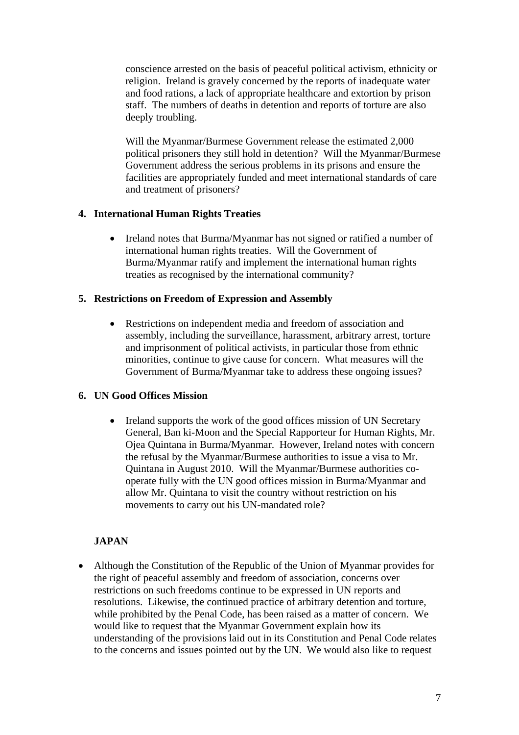conscience arrested on the basis of peaceful political activism, ethnicity or religion. Ireland is gravely concerned by the reports of inadequate water and food rations, a lack of appropriate healthcare and extortion by prison staff. The numbers of deaths in detention and reports of torture are also deeply troubling.

Will the Myanmar/Burmese Government release the estimated 2,000 political prisoners they still hold in detention? Will the Myanmar/Burmese Government address the serious problems in its prisons and ensure the facilities are appropriately funded and meet international standards of care and treatment of prisoners?

### **4. International Human Rights Treaties**

• Ireland notes that Burma/Myanmar has not signed or ratified a number of international human rights treaties. Will the Government of Burma/Myanmar ratify and implement the international human rights treaties as recognised by the international community?

## **5. Restrictions on Freedom of Expression and Assembly**

• Restrictions on independent media and freedom of association and assembly, including the surveillance, harassment, arbitrary arrest, torture and imprisonment of political activists, in particular those from ethnic minorities, continue to give cause for concern. What measures will the Government of Burma/Myanmar take to address these ongoing issues?

# **6. UN Good Offices Mission**

• Ireland supports the work of the good offices mission of UN Secretary General, Ban ki-Moon and the Special Rapporteur for Human Rights, Mr. Ojea Quintana in Burma/Myanmar. However, Ireland notes with concern the refusal by the Myanmar/Burmese authorities to issue a visa to Mr. Quintana in August 2010. Will the Myanmar/Burmese authorities cooperate fully with the UN good offices mission in Burma/Myanmar and allow Mr. Quintana to visit the country without restriction on his movements to carry out his UN-mandated role?

# **JAPAN**

• Although the Constitution of the Republic of the Union of Myanmar provides for the right of peaceful assembly and freedom of association, concerns over restrictions on such freedoms continue to be expressed in UN reports and resolutions. Likewise, the continued practice of arbitrary detention and torture, while prohibited by the Penal Code, has been raised as a matter of concern. We would like to request that the Myanmar Government explain how its understanding of the provisions laid out in its Constitution and Penal Code relates to the concerns and issues pointed out by the UN. We would also like to request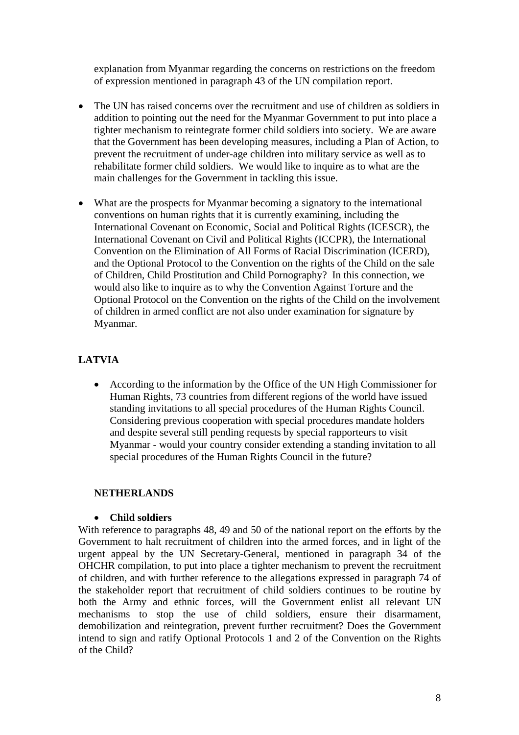explanation from Myanmar regarding the concerns on restrictions on the freedom of expression mentioned in paragraph 43 of the UN compilation report.

- The UN has raised concerns over the recruitment and use of children as soldiers in addition to pointing out the need for the Myanmar Government to put into place a tighter mechanism to reintegrate former child soldiers into society. We are aware that the Government has been developing measures, including a Plan of Action, to prevent the recruitment of under-age children into military service as well as to rehabilitate former child soldiers. We would like to inquire as to what are the main challenges for the Government in tackling this issue.
- What are the prospects for Myanmar becoming a signatory to the international conventions on human rights that it is currently examining, including the International Covenant on Economic, Social and Political Rights (ICESCR), the International Covenant on Civil and Political Rights (ICCPR), the International Convention on the Elimination of All Forms of Racial Discrimination (ICERD), and the Optional Protocol to the Convention on the rights of the Child on the sale of Children, Child Prostitution and Child Pornography? In this connection, we would also like to inquire as to why the Convention Against Torture and the Optional Protocol on the Convention on the rights of the Child on the involvement of children in armed conflict are not also under examination for signature by Myanmar.

# **LATVIA**

• According to the information by the Office of the UN High Commissioner for Human Rights, 73 countries from different regions of the world have issued standing invitations to all special procedures of the Human Rights Council. Considering previous cooperation with special procedures mandate holders and despite several still pending requests by special rapporteurs to visit Myanmar - would your country consider extending a standing invitation to all special procedures of the Human Rights Council in the future?

### **NETHERLANDS**

### • **Child soldiers**

With reference to paragraphs 48, 49 and 50 of the national report on the efforts by the Government to halt recruitment of children into the armed forces, and in light of the urgent appeal by the UN Secretary-General, mentioned in paragraph 34 of the OHCHR compilation, to put into place a tighter mechanism to prevent the recruitment of children, and with further reference to the allegations expressed in paragraph 74 of the stakeholder report that recruitment of child soldiers continues to be routine by both the Army and ethnic forces, will the Government enlist all relevant UN mechanisms to stop the use of child soldiers, ensure their disarmament, demobilization and reintegration, prevent further recruitment? Does the Government intend to sign and ratify Optional Protocols 1 and 2 of the Convention on the Rights of the Child?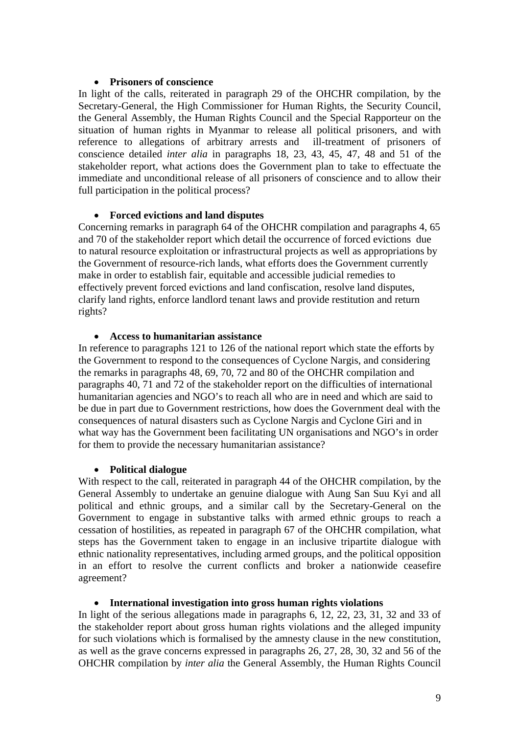### • **Prisoners of conscience**

In light of the calls, reiterated in paragraph 29 of the OHCHR compilation, by the Secretary-General, the High Commissioner for Human Rights, the Security Council, the General Assembly, the Human Rights Council and the Special Rapporteur on the situation of human rights in Myanmar to release all political prisoners, and with reference to allegations of arbitrary arrests and ill-treatment of prisoners of conscience detailed *inter alia* in paragraphs 18, 23, 43, 45, 47, 48 and 51 of the stakeholder report, what actions does the Government plan to take to effectuate the immediate and unconditional release of all prisoners of conscience and to allow their full participation in the political process?

## • **Forced evictions and land disputes**

Concerning remarks in paragraph 64 of the OHCHR compilation and paragraphs 4, 65 and 70 of the stakeholder report which detail the occurrence of forced evictions due to natural resource exploitation or infrastructural projects as well as appropriations by the Government of resource-rich lands, what efforts does the Government currently make in order to establish fair, equitable and accessible judicial remedies to effectively prevent forced evictions and land confiscation, resolve land disputes, clarify land rights, enforce landlord tenant laws and provide restitution and return rights?

## • **Access to humanitarian assistance**

In reference to paragraphs 121 to 126 of the national report which state the efforts by the Government to respond to the consequences of Cyclone Nargis, and considering the remarks in paragraphs 48, 69, 70, 72 and 80 of the OHCHR compilation and paragraphs 40, 71 and 72 of the stakeholder report on the difficulties of international humanitarian agencies and NGO's to reach all who are in need and which are said to be due in part due to Government restrictions, how does the Government deal with the consequences of natural disasters such as Cyclone Nargis and Cyclone Giri and in what way has the Government been facilitating UN organisations and NGO's in order for them to provide the necessary humanitarian assistance?

### • **Political dialogue**

With respect to the call, reiterated in paragraph 44 of the OHCHR compilation, by the General Assembly to undertake an genuine dialogue with Aung San Suu Kyi and all political and ethnic groups, and a similar call by the Secretary-General on the Government to engage in substantive talks with armed ethnic groups to reach a cessation of hostilities, as repeated in paragraph 67 of the OHCHR compilation, what steps has the Government taken to engage in an inclusive tripartite dialogue with ethnic nationality representatives, including armed groups, and the political opposition in an effort to resolve the current conflicts and broker a nationwide ceasefire agreement?

# • **International investigation into gross human rights violations**

In light of the serious allegations made in paragraphs 6, 12, 22, 23, 31, 32 and 33 of the stakeholder report about gross human rights violations and the alleged impunity for such violations which is formalised by the amnesty clause in the new constitution, as well as the grave concerns expressed in paragraphs 26, 27, 28, 30, 32 and 56 of the OHCHR compilation by *inter alia* the General Assembly, the Human Rights Council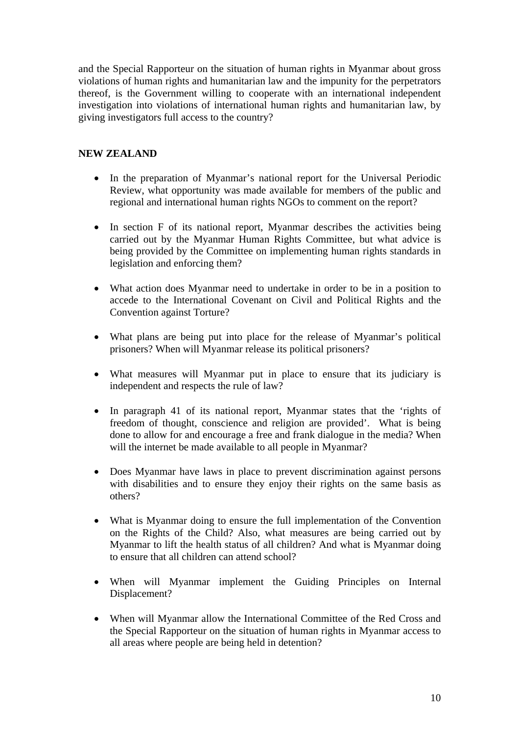and the Special Rapporteur on the situation of human rights in Myanmar about gross violations of human rights and humanitarian law and the impunity for the perpetrators thereof, is the Government willing to cooperate with an international independent investigation into violations of international human rights and humanitarian law, by giving investigators full access to the country?

# **NEW ZEALAND**

- In the preparation of Myanmar's national report for the Universal Periodic Review, what opportunity was made available for members of the public and regional and international human rights NGOs to comment on the report?
- In section F of its national report, Myanmar describes the activities being carried out by the Myanmar Human Rights Committee, but what advice is being provided by the Committee on implementing human rights standards in legislation and enforcing them?
- What action does Myanmar need to undertake in order to be in a position to accede to the International Covenant on Civil and Political Rights and the Convention against Torture?
- What plans are being put into place for the release of Myanmar's political prisoners? When will Myanmar release its political prisoners?
- What measures will Myanmar put in place to ensure that its judiciary is independent and respects the rule of law?
- In paragraph 41 of its national report, Myanmar states that the 'rights of freedom of thought, conscience and religion are provided'. What is being done to allow for and encourage a free and frank dialogue in the media? When will the internet be made available to all people in Myanmar?
- Does Myanmar have laws in place to prevent discrimination against persons with disabilities and to ensure they enjoy their rights on the same basis as others?
- What is Myanmar doing to ensure the full implementation of the Convention on the Rights of the Child? Also, what measures are being carried out by Myanmar to lift the health status of all children? And what is Myanmar doing to ensure that all children can attend school?
- When will Myanmar implement the Guiding Principles on Internal Displacement?
- When will Myanmar allow the International Committee of the Red Cross and the Special Rapporteur on the situation of human rights in Myanmar access to all areas where people are being held in detention?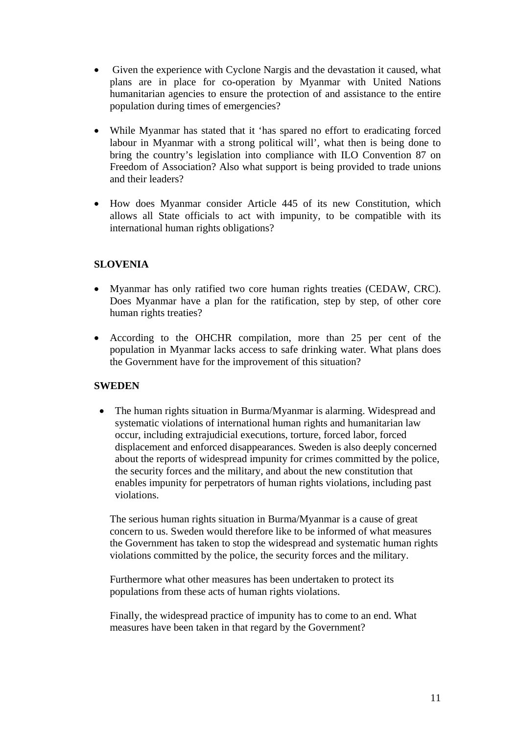- Given the experience with Cyclone Nargis and the devastation it caused, what plans are in place for co-operation by Myanmar with United Nations humanitarian agencies to ensure the protection of and assistance to the entire population during times of emergencies?
- While Myanmar has stated that it 'has spared no effort to eradicating forced labour in Myanmar with a strong political will', what then is being done to bring the country's legislation into compliance with ILO Convention 87 on Freedom of Association? Also what support is being provided to trade unions and their leaders?
- How does Myanmar consider Article 445 of its new Constitution, which allows all State officials to act with impunity, to be compatible with its international human rights obligations?

# **SLOVENIA**

- Myanmar has only ratified two core human rights treaties (CEDAW, CRC). Does Myanmar have a plan for the ratification, step by step, of other core human rights treaties?
- According to the OHCHR compilation, more than 25 per cent of the population in Myanmar lacks access to safe drinking water. What plans does the Government have for the improvement of this situation?

# **SWEDEN**

• The human rights situation in Burma/Myanmar is alarming. Widespread and systematic violations of international human rights and humanitarian law occur, including extrajudicial executions, torture, forced labor, forced displacement and enforced disappearances. Sweden is also deeply concerned about the reports of widespread impunity for crimes committed by the police, the security forces and the military, and about the new constitution that enables impunity for perpetrators of human rights violations, including past violations.

The serious human rights situation in Burma/Myanmar is a cause of great concern to us. Sweden would therefore like to be informed of what measures the Government has taken to stop the widespread and systematic human rights violations committed by the police, the security forces and the military.

Furthermore what other measures has been undertaken to protect its populations from these acts of human rights violations.

Finally, the widespread practice of impunity has to come to an end. What measures have been taken in that regard by the Government?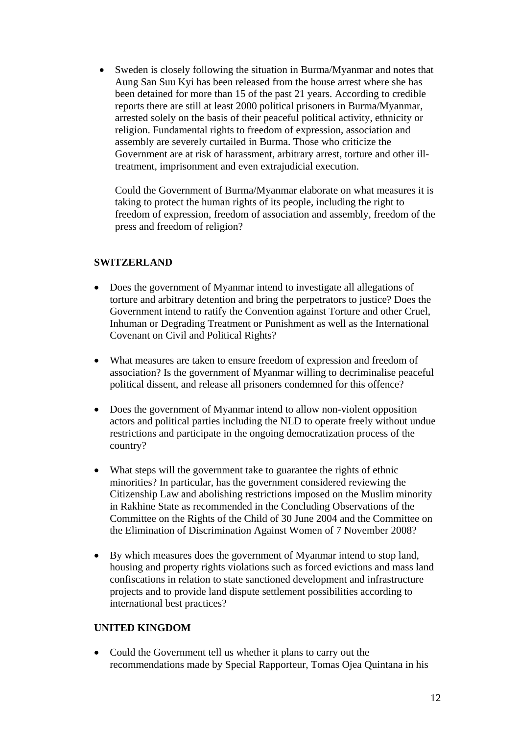• Sweden is closely following the situation in Burma/Myanmar and notes that Aung San Suu Kyi has been released from the house arrest where she has been detained for more than 15 of the past 21 years. According to credible reports there are still at least 2000 political prisoners in Burma/Myanmar, arrested solely on the basis of their peaceful political activity, ethnicity or religion. Fundamental rights to freedom of expression, association and assembly are severely curtailed in Burma. Those who criticize the Government are at risk of harassment, arbitrary arrest, torture and other illtreatment, imprisonment and even extrajudicial execution.

Could the Government of Burma/Myanmar elaborate on what measures it is taking to protect the human rights of its people, including the right to freedom of expression, freedom of association and assembly, freedom of the press and freedom of religion?

## **SWITZERLAND**

- Does the government of Myanmar intend to investigate all allegations of torture and arbitrary detention and bring the perpetrators to justice? Does the Government intend to ratify the Convention against Torture and other Cruel, Inhuman or Degrading Treatment or Punishment as well as the International Covenant on Civil and Political Rights?
- What measures are taken to ensure freedom of expression and freedom of association? Is the government of Myanmar willing to decriminalise peaceful political dissent, and release all prisoners condemned for this offence?
- Does the government of Myanmar intend to allow non-violent opposition actors and political parties including the NLD to operate freely without undue restrictions and participate in the ongoing democratization process of the country?
- What steps will the government take to guarantee the rights of ethnic minorities? In particular, has the government considered reviewing the Citizenship Law and abolishing restrictions imposed on the Muslim minority in Rakhine State as recommended in the Concluding Observations of the Committee on the Rights of the Child of 30 June 2004 and the Committee on the Elimination of Discrimination Against Women of 7 November 2008?
- By which measures does the government of Myanmar intend to stop land, housing and property rights violations such as forced evictions and mass land confiscations in relation to state sanctioned development and infrastructure projects and to provide land dispute settlement possibilities according to international best practices?

# **UNITED KINGDOM**

• Could the Government tell us whether it plans to carry out the recommendations made by Special Rapporteur, Tomas Ojea Quintana in his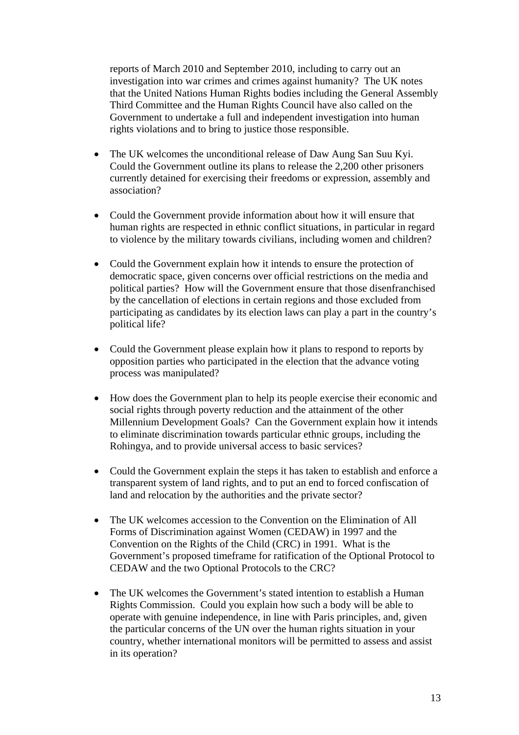reports of March 2010 and September 2010, including to carry out an investigation into war crimes and crimes against humanity? The UK notes that the United Nations Human Rights bodies including the General Assembly Third Committee and the Human Rights Council have also called on the Government to undertake a full and independent investigation into human rights violations and to bring to justice those responsible.

- The UK welcomes the unconditional release of Daw Aung San Suu Kyi. Could the Government outline its plans to release the 2,200 other prisoners currently detained for exercising their freedoms or expression, assembly and association?
- Could the Government provide information about how it will ensure that human rights are respected in ethnic conflict situations, in particular in regard to violence by the military towards civilians, including women and children?
- Could the Government explain how it intends to ensure the protection of democratic space, given concerns over official restrictions on the media and political parties? How will the Government ensure that those disenfranchised by the cancellation of elections in certain regions and those excluded from participating as candidates by its election laws can play a part in the country's political life?
- Could the Government please explain how it plans to respond to reports by opposition parties who participated in the election that the advance voting process was manipulated?
- How does the Government plan to help its people exercise their economic and social rights through poverty reduction and the attainment of the other Millennium Development Goals? Can the Government explain how it intends to eliminate discrimination towards particular ethnic groups, including the Rohingya, and to provide universal access to basic services?
- Could the Government explain the steps it has taken to establish and enforce a transparent system of land rights, and to put an end to forced confiscation of land and relocation by the authorities and the private sector?
- The UK welcomes accession to the Convention on the Elimination of All Forms of Discrimination against Women (CEDAW) in 1997 and the Convention on the Rights of the Child (CRC) in 1991. What is the Government's proposed timeframe for ratification of the Optional Protocol to CEDAW and the two Optional Protocols to the CRC?
- The UK welcomes the Government's stated intention to establish a Human Rights Commission. Could you explain how such a body will be able to operate with genuine independence, in line with Paris principles, and, given the particular concerns of the UN over the human rights situation in your country, whether international monitors will be permitted to assess and assist in its operation?